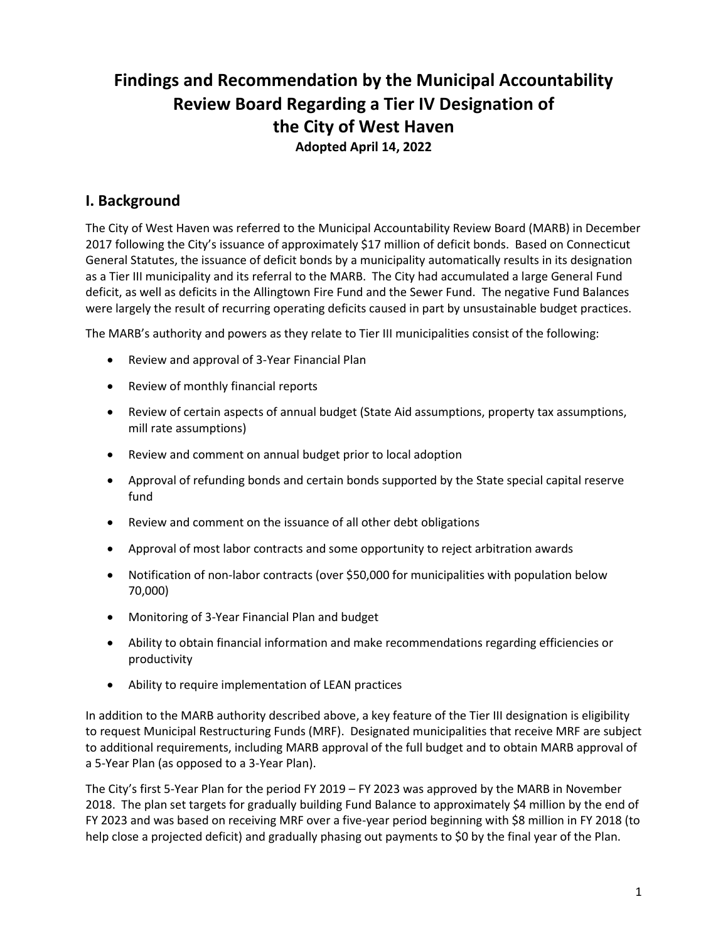# **Findings and Recommendation by the Municipal Accountability Review Board Regarding a Tier IV Designation of the City of West Haven Adopted April 14, 2022**

# **I. Background**

The City of West Haven was referred to the Municipal Accountability Review Board (MARB) in December 2017 following the City's issuance of approximately \$17 million of deficit bonds. Based on Connecticut General Statutes, the issuance of deficit bonds by a municipality automatically results in its designation as a Tier III municipality and its referral to the MARB. The City had accumulated a large General Fund deficit, as well as deficits in the Allingtown Fire Fund and the Sewer Fund. The negative Fund Balances were largely the result of recurring operating deficits caused in part by unsustainable budget practices.

The MARB's authority and powers as they relate to Tier III municipalities consist of the following:

- Review and approval of 3-Year Financial Plan
- Review of monthly financial reports
- Review of certain aspects of annual budget (State Aid assumptions, property tax assumptions, mill rate assumptions)
- Review and comment on annual budget prior to local adoption
- Approval of refunding bonds and certain bonds supported by the State special capital reserve fund
- Review and comment on the issuance of all other debt obligations
- Approval of most labor contracts and some opportunity to reject arbitration awards
- Notification of non-labor contracts (over \$50,000 for municipalities with population below 70,000)
- Monitoring of 3-Year Financial Plan and budget
- Ability to obtain financial information and make recommendations regarding efficiencies or productivity
- Ability to require implementation of LEAN practices

In addition to the MARB authority described above, a key feature of the Tier III designation is eligibility to request Municipal Restructuring Funds (MRF). Designated municipalities that receive MRF are subject to additional requirements, including MARB approval of the full budget and to obtain MARB approval of a 5-Year Plan (as opposed to a 3-Year Plan).

The City's first 5-Year Plan for the period FY 2019 – FY 2023 was approved by the MARB in November 2018. The plan set targets for gradually building Fund Balance to approximately \$4 million by the end of FY 2023 and was based on receiving MRF over a five-year period beginning with \$8 million in FY 2018 (to help close a projected deficit) and gradually phasing out payments to \$0 by the final year of the Plan.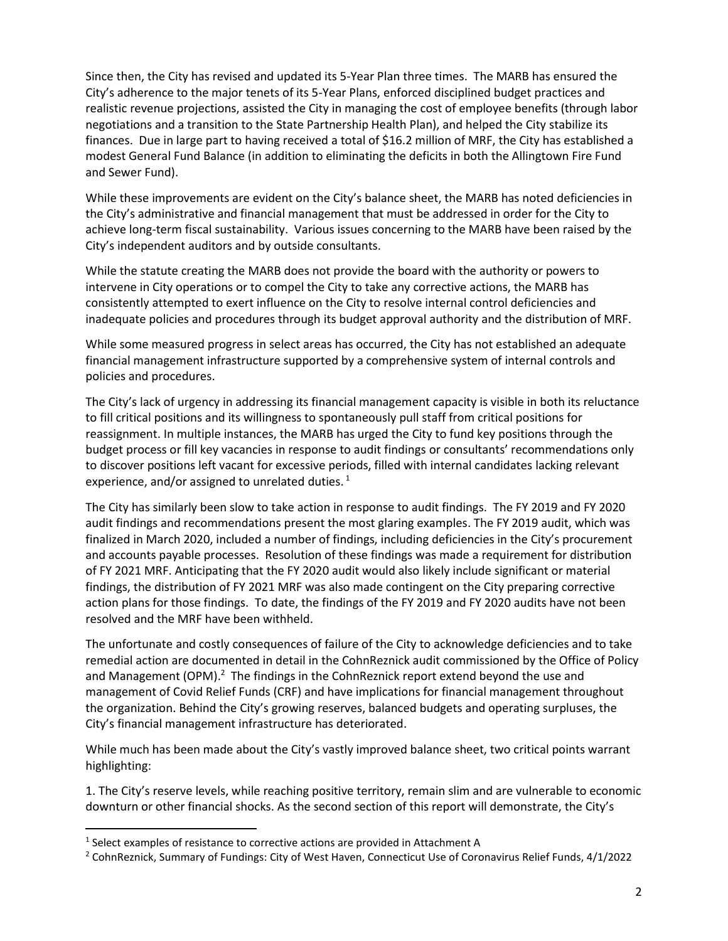Since then, the City has revised and updated its 5-Year Plan three times. The MARB has ensured the City's adherence to the major tenets of its 5-Year Plans, enforced disciplined budget practices and realistic revenue projections, assisted the City in managing the cost of employee benefits (through labor negotiations and a transition to the State Partnership Health Plan), and helped the City stabilize its finances. Due in large part to having received a total of \$16.2 million of MRF, the City has established a modest General Fund Balance (in addition to eliminating the deficits in both the Allingtown Fire Fund and Sewer Fund).

While these improvements are evident on the City's balance sheet, the MARB has noted deficiencies in the City's administrative and financial management that must be addressed in order for the City to achieve long-term fiscal sustainability. Various issues concerning to the MARB have been raised by the City's independent auditors and by outside consultants.

While the statute creating the MARB does not provide the board with the authority or powers to intervene in City operations or to compel the City to take any corrective actions, the MARB has consistently attempted to exert influence on the City to resolve internal control deficiencies and inadequate policies and procedures through its budget approval authority and the distribution of MRF.

While some measured progress in select areas has occurred, the City has not established an adequate financial management infrastructure supported by a comprehensive system of internal controls and policies and procedures.

The City's lack of urgency in addressing its financial management capacity is visible in both its reluctance to fill critical positions and its willingness to spontaneously pull staff from critical positions for reassignment. In multiple instances, the MARB has urged the City to fund key positions through the budget process or fill key vacancies in response to audit findings or consultants' recommendations only to discover positions left vacant for excessive periods, filled with internal candidates lacking relevant experience, and/or assigned to unrelated duties.  $^{1}$ 

The City has similarly been slow to take action in response to audit findings. The FY 2019 and FY 2020 audit findings and recommendations present the most glaring examples. The FY 2019 audit, which was finalized in March 2020, included a number of findings, including deficiencies in the City's procurement and accounts payable processes. Resolution of these findings was made a requirement for distribution of FY 2021 MRF. Anticipating that the FY 2020 audit would also likely include significant or material findings, the distribution of FY 2021 MRF was also made contingent on the City preparing corrective action plans for those findings. To date, the findings of the FY 2019 and FY 2020 audits have not been resolved and the MRF have been withheld.

The unfortunate and costly consequences of failure of the City to acknowledge deficiencies and to take remedial action are documented in detail in the CohnReznick audit commissioned by the Office of Policy and Management (OPM). $^2$  The findings in the CohnReznick report extend beyond the use and management of Covid Relief Funds (CRF) and have implications for financial management throughout the organization. Behind the City's growing reserves, balanced budgets and operating surpluses, the City's financial management infrastructure has deteriorated.

While much has been made about the City's vastly improved balance sheet, two critical points warrant highlighting:

1. The City's reserve levels, while reaching positive territory, remain slim and are vulnerable to economic downturn or other financial shocks. As the second section of this report will demonstrate, the City's

 $<sup>1</sup>$  Select examples of resistance to corrective actions are provided in Attachment A</sup>

<sup>2</sup> CohnReznick, Summary of Fundings: City of West Haven, Connecticut Use of Coronavirus Relief Funds, 4/1/2022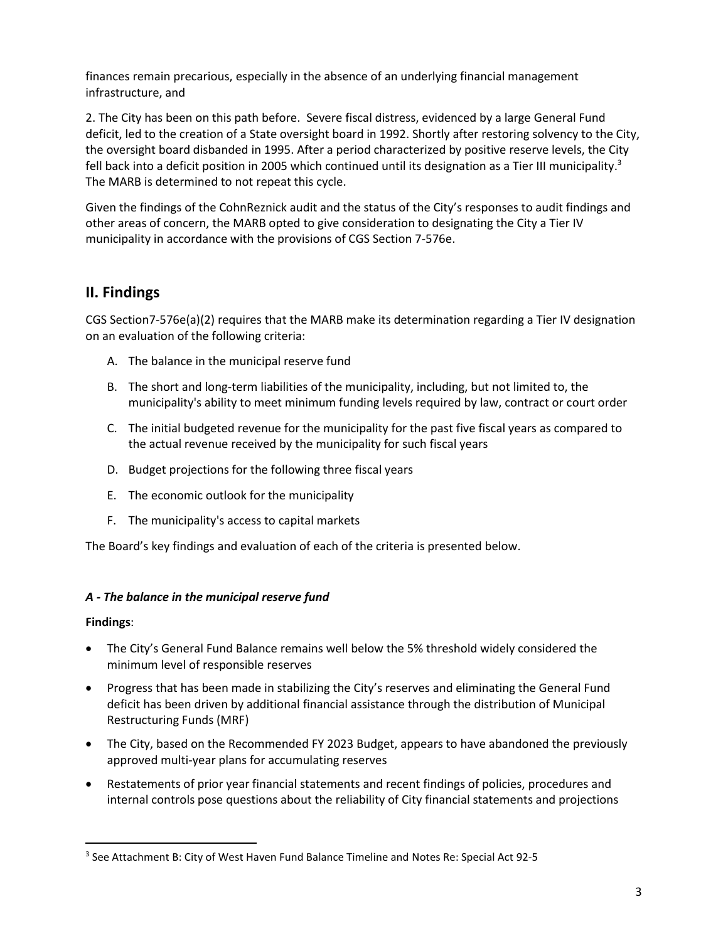finances remain precarious, especially in the absence of an underlying financial management infrastructure, and

2. The City has been on this path before. Severe fiscal distress, evidenced by a large General Fund deficit, led to the creation of a State oversight board in 1992. Shortly after restoring solvency to the City, the oversight board disbanded in 1995. After a period characterized by positive reserve levels, the City fell back into a deficit position in 2005 which continued until its designation as a Tier III municipality.<sup>3</sup> The MARB is determined to not repeat this cycle.

Given the findings of the CohnReznick audit and the status of the City's responses to audit findings and other areas of concern, the MARB opted to give consideration to designating the City a Tier IV municipality in accordance with the provisions of CGS Section 7-576e.

# **II. Findings**

CGS Section7-576e(a)(2) requires that the MARB make its determination regarding a Tier IV designation on an evaluation of the following criteria:

- A. The balance in the municipal reserve fund
- B. The short and long-term liabilities of the municipality, including, but not limited to, the municipality's ability to meet minimum funding levels required by law, contract or court order
- C. The initial budgeted revenue for the municipality for the past five fiscal years as compared to the actual revenue received by the municipality for such fiscal years
- D. Budget projections for the following three fiscal years
- E. The economic outlook for the municipality
- F. The municipality's access to capital markets

The Board's key findings and evaluation of each of the criteria is presented below.

# *A - The balance in the municipal reserve fund*

#### **Findings**:

- The City's General Fund Balance remains well below the 5% threshold widely considered the minimum level of responsible reserves
- Progress that has been made in stabilizing the City's reserves and eliminating the General Fund deficit has been driven by additional financial assistance through the distribution of Municipal Restructuring Funds (MRF)
- The City, based on the Recommended FY 2023 Budget, appears to have abandoned the previously approved multi-year plans for accumulating reserves
- Restatements of prior year financial statements and recent findings of policies, procedures and internal controls pose questions about the reliability of City financial statements and projections

<sup>3</sup> See Attachment B: City of West Haven Fund Balance Timeline and Notes Re: Special Act 92-5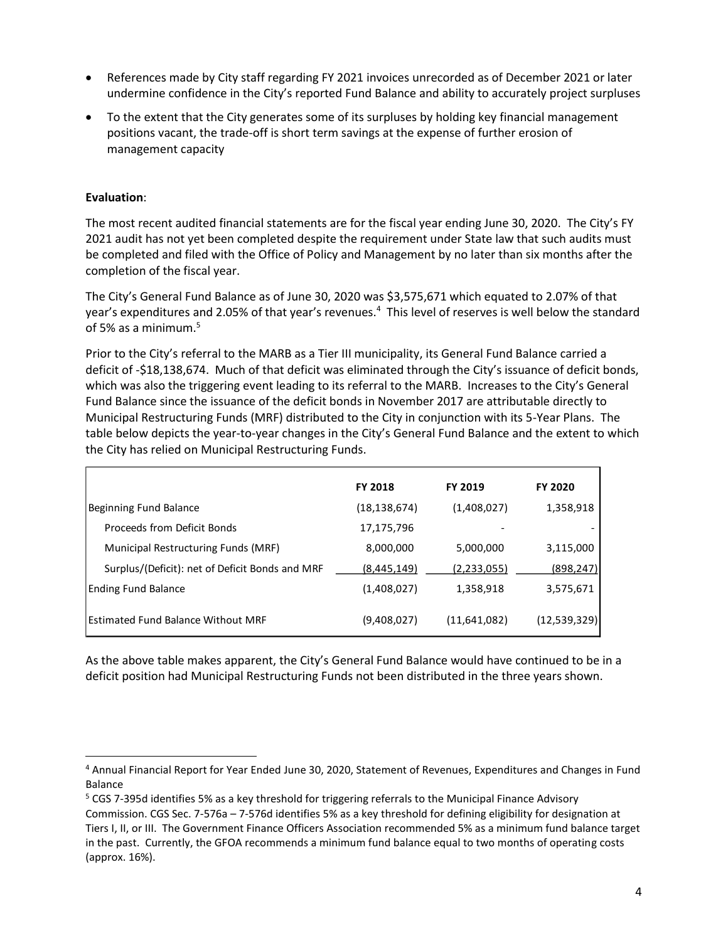- References made by City staff regarding FY 2021 invoices unrecorded as of December 2021 or later undermine confidence in the City's reported Fund Balance and ability to accurately project surpluses
- To the extent that the City generates some of its surpluses by holding key financial management positions vacant, the trade-off is short term savings at the expense of further erosion of management capacity

### **Evaluation**:

The most recent audited financial statements are for the fiscal year ending June 30, 2020. The City's FY 2021 audit has not yet been completed despite the requirement under State law that such audits must be completed and filed with the Office of Policy and Management by no later than six months after the completion of the fiscal year.

The City's General Fund Balance as of June 30, 2020 was \$3,575,671 which equated to 2.07% of that year's expenditures and 2.05% of that year's revenues.<sup>4</sup> This level of reserves is well below the standard of 5% as a minimum.<sup>5</sup>

Prior to the City's referral to the MARB as a Tier III municipality, its General Fund Balance carried a deficit of -\$18,138,674. Much of that deficit was eliminated through the City's issuance of deficit bonds, which was also the triggering event leading to its referral to the MARB. Increases to the City's General Fund Balance since the issuance of the deficit bonds in November 2017 are attributable directly to Municipal Restructuring Funds (MRF) distributed to the City in conjunction with its 5-Year Plans. The table below depicts the year-to-year changes in the City's General Fund Balance and the extent to which the City has relied on Municipal Restructuring Funds.

|                                                 | <b>FY 2018</b> | <b>FY 2019</b> | <b>FY 2020</b> |
|-------------------------------------------------|----------------|----------------|----------------|
| Beginning Fund Balance                          | (18, 138, 674) | (1,408,027)    | 1,358,918      |
| Proceeds from Deficit Bonds                     | 17,175,796     |                |                |
| Municipal Restructuring Funds (MRF)             | 8,000,000      | 5,000,000      | 3,115,000      |
| Surplus/(Deficit): net of Deficit Bonds and MRF | (8,445,149)    | (2,233,055)    | (898, 247)     |
| Ending Fund Balance                             | (1,408,027)    | 1,358,918      | 3,575,671      |
| Estimated Fund Balance Without MRF              | (9,408,027)    | (11,641,082)   | (12,539,329)   |

As the above table makes apparent, the City's General Fund Balance would have continued to be in a deficit position had Municipal Restructuring Funds not been distributed in the three years shown.

<sup>4</sup> Annual Financial Report for Year Ended June 30, 2020, Statement of Revenues, Expenditures and Changes in Fund Balance

<sup>5</sup> CGS 7-395d identifies 5% as a key threshold for triggering referrals to the Municipal Finance Advisory Commission. CGS Sec. 7-576a – 7-576d identifies 5% as a key threshold for defining eligibility for designation at Tiers I, II, or III. The Government Finance Officers Association recommended 5% as a minimum fund balance target in the past. Currently, the GFOA recommends a minimum fund balance equal to two months of operating costs (approx. 16%).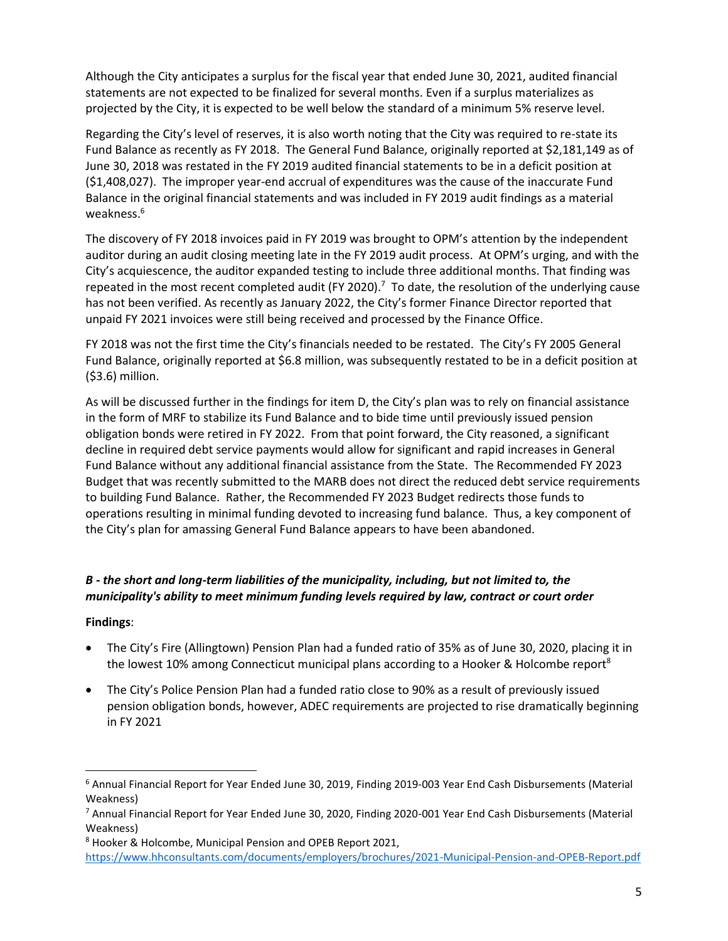Although the City anticipates a surplus for the fiscal year that ended June 30, 2021, audited financial statements are not expected to be finalized for several months. Even if a surplus materializes as projected by the City, it is expected to be well below the standard of a minimum 5% reserve level.

Regarding the City's level of reserves, it is also worth noting that the City was required to re-state its Fund Balance as recently as FY 2018. The General Fund Balance, originally reported at \$2,181,149 as of June 30, 2018 was restated in the FY 2019 audited financial statements to be in a deficit position at (\$1,408,027). The improper year-end accrual of expenditures was the cause of the inaccurate Fund Balance in the original financial statements and was included in FY 2019 audit findings as a material weakness. 6

The discovery of FY 2018 invoices paid in FY 2019 was brought to OPM's attention by the independent auditor during an audit closing meeting late in the FY 2019 audit process. At OPM's urging, and with the City's acquiescence, the auditor expanded testing to include three additional months. That finding was repeated in the most recent completed audit (FY 2020).<sup>7</sup> To date, the resolution of the underlying cause has not been verified. As recently as January 2022, the City's former Finance Director reported that unpaid FY 2021 invoices were still being received and processed by the Finance Office.

FY 2018 was not the first time the City's financials needed to be restated. The City's FY 2005 General Fund Balance, originally reported at \$6.8 million, was subsequently restated to be in a deficit position at (\$3.6) million.

As will be discussed further in the findings for item D, the City's plan was to rely on financial assistance in the form of MRF to stabilize its Fund Balance and to bide time until previously issued pension obligation bonds were retired in FY 2022. From that point forward, the City reasoned, a significant decline in required debt service payments would allow for significant and rapid increases in General Fund Balance without any additional financial assistance from the State. The Recommended FY 2023 Budget that was recently submitted to the MARB does not direct the reduced debt service requirements to building Fund Balance. Rather, the Recommended FY 2023 Budget redirects those funds to operations resulting in minimal funding devoted to increasing fund balance. Thus, a key component of the City's plan for amassing General Fund Balance appears to have been abandoned.

# *B - the short and long-term liabilities of the municipality, including, but not limited to, the municipality's ability to meet minimum funding levels required by law, contract or court order*

#### **Findings**:

- The City's Fire (Allingtown) Pension Plan had a funded ratio of 35% as of June 30, 2020, placing it in the lowest 10% among Connecticut municipal plans according to a Hooker & Holcombe report<sup>8</sup>
- The City's Police Pension Plan had a funded ratio close to 90% as a result of previously issued pension obligation bonds, however, ADEC requirements are projected to rise dramatically beginning in FY 2021

<sup>6</sup> Annual Financial Report for Year Ended June 30, 2019, Finding 2019-003 Year End Cash Disbursements (Material Weakness)

 $^7$  Annual Financial Report for Year Ended June 30, 2020, Finding 2020-001 Year End Cash Disbursements (Material Weakness)

<sup>8</sup> Hooker & Holcombe, Municipal Pension and OPEB Report 2021,

<https://www.hhconsultants.com/documents/employers/brochures/2021-Municipal-Pension-and-OPEB-Report.pdf>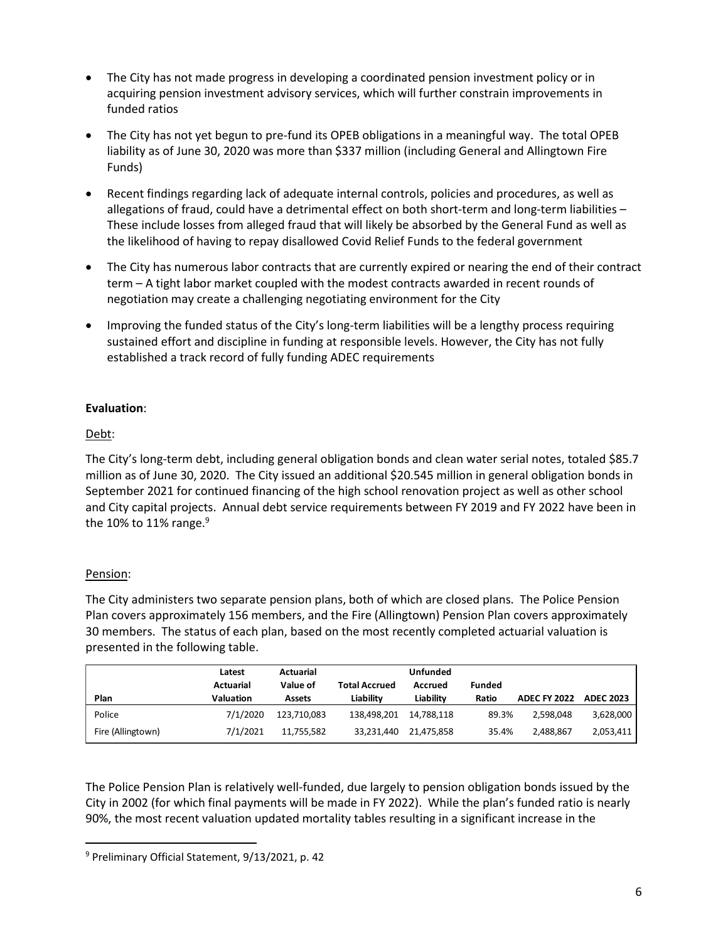- The City has not made progress in developing a coordinated pension investment policy or in acquiring pension investment advisory services, which will further constrain improvements in funded ratios
- The City has not yet begun to pre-fund its OPEB obligations in a meaningful way. The total OPEB liability as of June 30, 2020 was more than \$337 million (including General and Allingtown Fire Funds)
- Recent findings regarding lack of adequate internal controls, policies and procedures, as well as allegations of fraud, could have a detrimental effect on both short-term and long-term liabilities – These include losses from alleged fraud that will likely be absorbed by the General Fund as well as the likelihood of having to repay disallowed Covid Relief Funds to the federal government
- The City has numerous labor contracts that are currently expired or nearing the end of their contract term – A tight labor market coupled with the modest contracts awarded in recent rounds of negotiation may create a challenging negotiating environment for the City
- Improving the funded status of the City's long-term liabilities will be a lengthy process requiring sustained effort and discipline in funding at responsible levels. However, the City has not fully established a track record of fully funding ADEC requirements

# **Evaluation**:

# Debt:

The City's long-term debt, including general obligation bonds and clean water serial notes, totaled \$85.7 million as of June 30, 2020. The City issued an additional \$20.545 million in general obligation bonds in September 2021 for continued financing of the high school renovation project as well as other school and City capital projects. Annual debt service requirements between FY 2019 and FY 2022 have been in the 10% to 11% range. $9$ 

# Pension:

The City administers two separate pension plans, both of which are closed plans. The Police Pension Plan covers approximately 156 members, and the Fire (Allingtown) Pension Plan covers approximately 30 members. The status of each plan, based on the most recently completed actuarial valuation is presented in the following table.

|                   | Latest    | Actuarial                        |             | <b>Unfunded</b>          |       |                     |                  |
|-------------------|-----------|----------------------------------|-------------|--------------------------|-------|---------------------|------------------|
| <b>Actuarial</b>  |           | Value of<br><b>Total Accrued</b> |             | <b>Funded</b><br>Accrued |       |                     |                  |
| Plan              | Valuation | Assets                           | Liability   | Liability                | Ratio | <b>ADEC FY 2022</b> | <b>ADEC 2023</b> |
| Police            | 7/1/2020  | 123.710.083                      | 138.498.201 | 14.788.118               | 89.3% | 2.598.048           | 3,628,000        |
| Fire (Allingtown) | 7/1/2021  | 11.755.582                       | 33,231,440  | 21,475,858               | 35.4% | 2,488,867           | 2,053,411        |

The Police Pension Plan is relatively well-funded, due largely to pension obligation bonds issued by the City in 2002 (for which final payments will be made in FY 2022). While the plan's funded ratio is nearly 90%, the most recent valuation updated mortality tables resulting in a significant increase in the

<sup>9</sup> Preliminary Official Statement, 9/13/2021, p. 42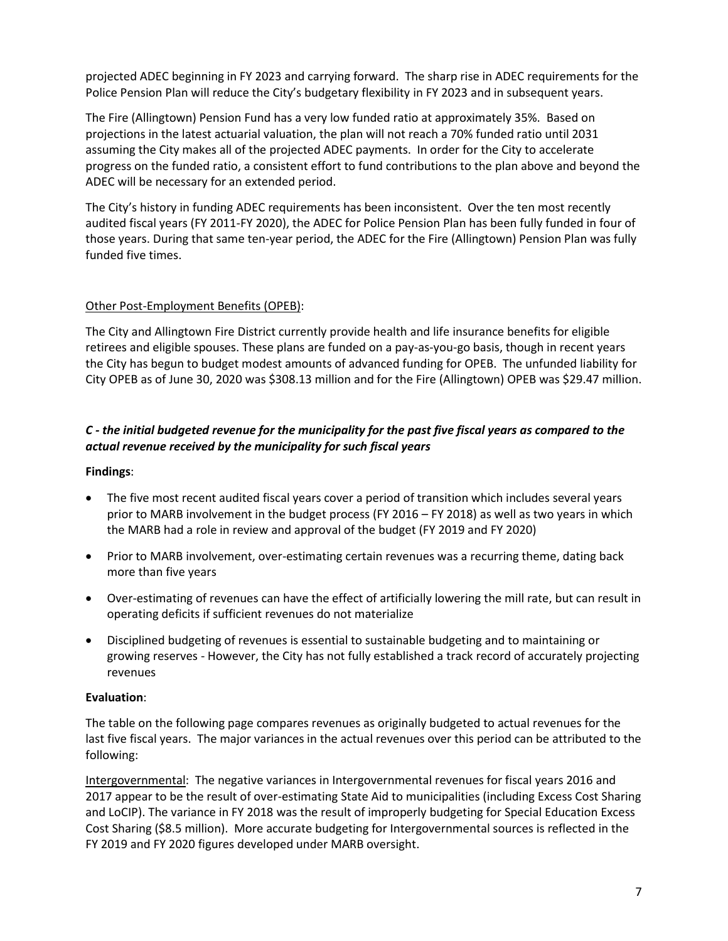projected ADEC beginning in FY 2023 and carrying forward. The sharp rise in ADEC requirements for the Police Pension Plan will reduce the City's budgetary flexibility in FY 2023 and in subsequent years.

The Fire (Allingtown) Pension Fund has a very low funded ratio at approximately 35%. Based on projections in the latest actuarial valuation, the plan will not reach a 70% funded ratio until 2031 assuming the City makes all of the projected ADEC payments. In order for the City to accelerate progress on the funded ratio, a consistent effort to fund contributions to the plan above and beyond the ADEC will be necessary for an extended period.

The City's history in funding ADEC requirements has been inconsistent. Over the ten most recently audited fiscal years (FY 2011-FY 2020), the ADEC for Police Pension Plan has been fully funded in four of those years. During that same ten-year period, the ADEC for the Fire (Allingtown) Pension Plan was fully funded five times.

### Other Post-Employment Benefits (OPEB):

The City and Allingtown Fire District currently provide health and life insurance benefits for eligible retirees and eligible spouses. These plans are funded on a pay-as-you-go basis, though in recent years the City has begun to budget modest amounts of advanced funding for OPEB. The unfunded liability for City OPEB as of June 30, 2020 was \$308.13 million and for the Fire (Allingtown) OPEB was \$29.47 million.

### *C - the initial budgeted revenue for the municipality for the past five fiscal years as compared to the actual revenue received by the municipality for such fiscal years*

#### **Findings**:

- The five most recent audited fiscal years cover a period of transition which includes several years prior to MARB involvement in the budget process (FY 2016 – FY 2018) as well as two years in which the MARB had a role in review and approval of the budget (FY 2019 and FY 2020)
- Prior to MARB involvement, over-estimating certain revenues was a recurring theme, dating back more than five years
- Over-estimating of revenues can have the effect of artificially lowering the mill rate, but can result in operating deficits if sufficient revenues do not materialize
- Disciplined budgeting of revenues is essential to sustainable budgeting and to maintaining or growing reserves - However, the City has not fully established a track record of accurately projecting revenues

#### **Evaluation**:

The table on the following page compares revenues as originally budgeted to actual revenues for the last five fiscal years. The major variances in the actual revenues over this period can be attributed to the following:

Intergovernmental: The negative variances in Intergovernmental revenues for fiscal years 2016 and 2017 appear to be the result of over-estimating State Aid to municipalities (including Excess Cost Sharing and LoCIP). The variance in FY 2018 was the result of improperly budgeting for Special Education Excess Cost Sharing (\$8.5 million). More accurate budgeting for Intergovernmental sources is reflected in the FY 2019 and FY 2020 figures developed under MARB oversight.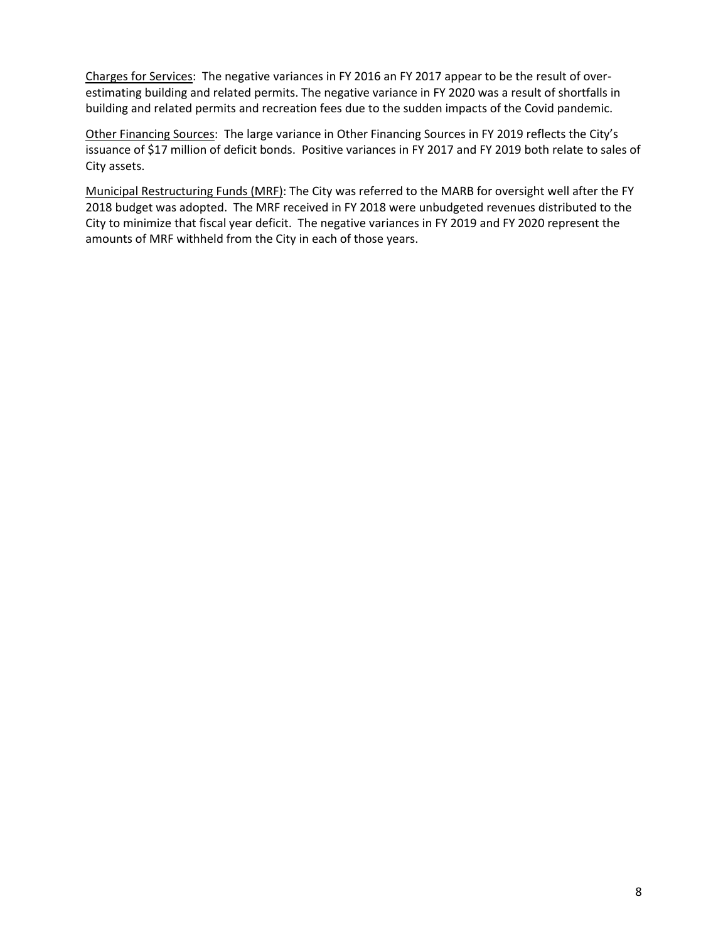Charges for Services: The negative variances in FY 2016 an FY 2017 appear to be the result of overestimating building and related permits. The negative variance in FY 2020 was a result of shortfalls in building and related permits and recreation fees due to the sudden impacts of the Covid pandemic.

Other Financing Sources: The large variance in Other Financing Sources in FY 2019 reflects the City's issuance of \$17 million of deficit bonds. Positive variances in FY 2017 and FY 2019 both relate to sales of City assets.

Municipal Restructuring Funds (MRF): The City was referred to the MARB for oversight well after the FY 2018 budget was adopted. The MRF received in FY 2018 were unbudgeted revenues distributed to the City to minimize that fiscal year deficit. The negative variances in FY 2019 and FY 2020 represent the amounts of MRF withheld from the City in each of those years.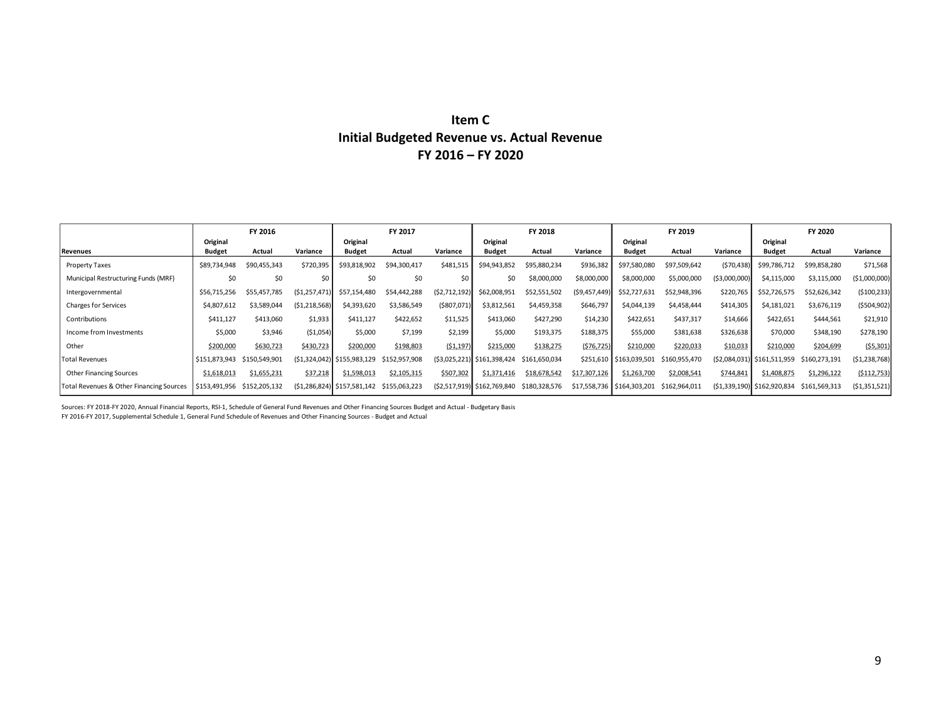# **Item C Initial Budgeted Revenue vs. Actual Revenue FY 2016 – FY 2020**

|                                          |               | FY 2016       |                |                                | FY 2017       |                    |                              | FY 2018       |                |                            | FY 2019       |                |                              | FY 2020       |                |
|------------------------------------------|---------------|---------------|----------------|--------------------------------|---------------|--------------------|------------------------------|---------------|----------------|----------------------------|---------------|----------------|------------------------------|---------------|----------------|
|                                          | Original      |               |                | Original                       |               |                    | Original                     |               |                | Original                   |               |                | Original                     |               |                |
| Revenues                                 | <b>Budget</b> | Actual        | Variance       | <b>Budget</b>                  | Actual        | Variance           | <b>Budget</b>                | Actual        | Variance       | <b>Budget</b>              | Actual        | Variance       | <b>Budget</b>                | Actual        | Variance       |
| Property Taxes                           | \$89,734,948  | \$90,455,343  | \$720,395      | \$93,818,902                   | \$94,300,417  | \$481,515          | \$94.943.852                 | \$95,880,234  | \$936,382      | \$97,580,080               | \$97,509,642  | (570, 438)     | \$99,786,712                 | \$99,858,280  | \$71,568       |
| Municipal Restructuring Funds (MRF)      | \$0           | \$0           |                | \$0                            | \$0           | \$0                |                              | \$8,000,000   | \$8,000,000    | \$8,000,000                | \$5,000,000   | ( \$3,000,000) | \$4.115.000                  | \$3,115,000   | (\$1,000,000)  |
| Intergovernmental                        | \$56,715,256  | \$55.457.785  | (S1.257.471)   | \$57.154.480                   | \$54,442,288  | (S2,712,192)       | \$62,008,951                 | \$52,551,502  | (59, 457, 449) | \$52,727,631               | \$52,948,396  | \$220,765      | \$52,726,575                 | \$52,626,342  | (5100, 233)    |
| <b>Charges for Services</b>              | \$4,807,612   | \$3,589,044   | (51, 218, 568) | \$4,393,620                    | \$3,586,549   | $($ \$807,071) $ $ | \$3,812,561                  | \$4,459,358   | \$646,797      | \$4,044,139                | \$4,458,444   | \$414,305      | \$4,181,021                  | \$3,676,119   | (5504, 902)    |
| Contributions                            | \$411,127     | \$413,060     | \$1,933        | \$411,127                      | \$422,652     | \$11,525           | \$413,060                    | \$427,290     | \$14,230       | \$422,651                  | \$437,317     | \$14,666       | \$422,651                    | \$444,561     | \$21,910       |
| Income from Investments                  | \$5,000       | \$3,946       | (51,054)       | \$5,000                        | \$7,199       | \$2,199            | \$5,000                      | \$193,375     | \$188,375      | \$55,000                   | \$381,638     | \$326,638      | \$70,000                     | \$348,190     | \$278,190      |
| Other                                    | \$200,000     | \$630,723     | \$430,723      | \$200,000                      | \$198,803     | (51, 197)          | \$215,000                    | \$138,275     | (576, 725)     | \$210,000                  | \$220,033     | \$10,033       | \$210,000                    | \$204,699     | (55,301)       |
| <b>Total Revenues</b>                    | \$151,873,943 | \$150.549.901 |                | $(51,324,042)$ \$155,983,129   | \$152,957,908 |                    | $(53,025,221)$ \$161,398,424 | \$161,650,034 |                | \$251,610 \$163,039,501    | \$160,955,470 |                | $(S2,084,031)$ \$161,511,959 | \$160,273,191 | (51, 238, 768) |
| <b>Other Financing Sources</b>           | \$1,618,013   | \$1,655,231   | \$37,218       | \$1,598,013                    | \$2,105,315   | \$507,302          | \$1,371,416                  | \$18,678,542  | \$17,307,126   | \$1,263,700                | \$2,008,541   | \$744,841      | \$1,408,875                  | \$1,296,122   | ( \$112,753)   |
| Total Revenues & Other Financing Sources | \$153,491,956 | \$152,205,132 |                | $(51, 286, 824)$ \$157,581,142 | \$155,063,223 |                    | (\$2,517,919) \$162,769,840  | \$180,328,576 |                | \$17,558,736 \$164,303,201 | \$162,964,011 |                | $(S1,339,190)$ \$162,920,834 | \$161,569,313 | (51,351,521)   |

Sources: FY 2018-FY 2020, Annual Financial Reports, RSI-1, Schedule of General Fund Revenues and Other Financing Sources Budget and Actual - Budgetary Basis FY 2016-FY 2017, Supplemental Schedule 1, General Fund Schedule of Revenues and Other Financing Sources - Budget and Actual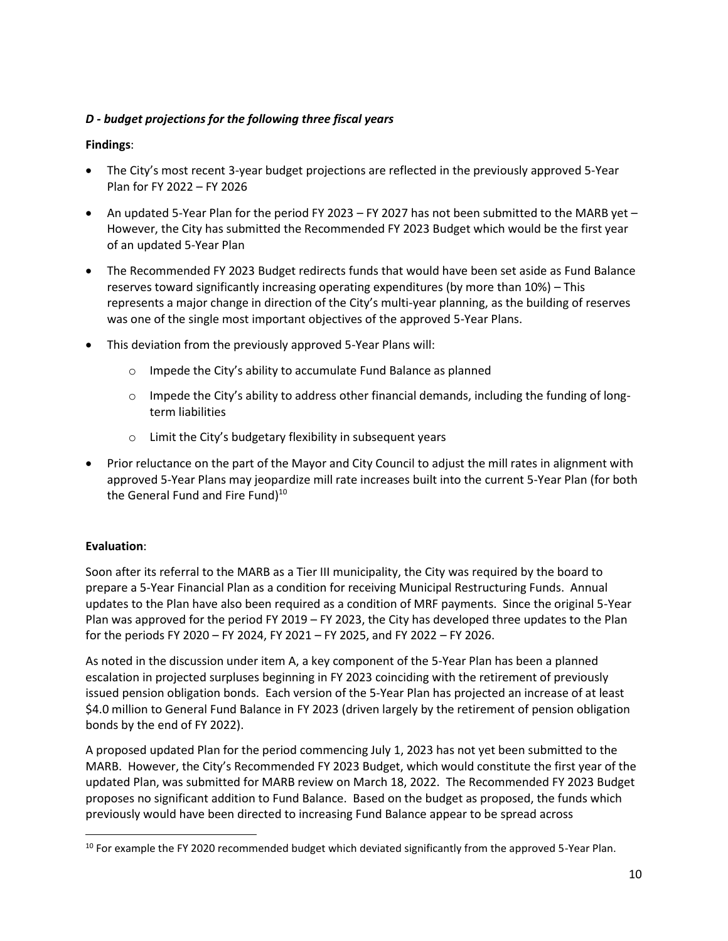### *D - budget projections for the following three fiscal years*

### **Findings**:

- The City's most recent 3-year budget projections are reflected in the previously approved 5-Year Plan for FY 2022 – FY 2026
- An updated 5-Year Plan for the period FY 2023 FY 2027 has not been submitted to the MARB yet However, the City has submitted the Recommended FY 2023 Budget which would be the first year of an updated 5-Year Plan
- The Recommended FY 2023 Budget redirects funds that would have been set aside as Fund Balance reserves toward significantly increasing operating expenditures (by more than 10%) – This represents a major change in direction of the City's multi-year planning, as the building of reserves was one of the single most important objectives of the approved 5-Year Plans.
- This deviation from the previously approved 5-Year Plans will:
	- o Impede the City's ability to accumulate Fund Balance as planned
	- o Impede the City's ability to address other financial demands, including the funding of longterm liabilities
	- o Limit the City's budgetary flexibility in subsequent years
- Prior reluctance on the part of the Mayor and City Council to adjust the mill rates in alignment with approved 5-Year Plans may jeopardize mill rate increases built into the current 5-Year Plan (for both the General Fund and Fire Fund)<sup>10</sup>

#### **Evaluation**:

Soon after its referral to the MARB as a Tier III municipality, the City was required by the board to prepare a 5-Year Financial Plan as a condition for receiving Municipal Restructuring Funds. Annual updates to the Plan have also been required as a condition of MRF payments. Since the original 5-Year Plan was approved for the period FY 2019 – FY 2023, the City has developed three updates to the Plan for the periods FY 2020 – FY 2024, FY 2021 – FY 2025, and FY 2022 – FY 2026.

As noted in the discussion under item A, a key component of the 5-Year Plan has been a planned escalation in projected surpluses beginning in FY 2023 coinciding with the retirement of previously issued pension obligation bonds. Each version of the 5-Year Plan has projected an increase of at least \$4.0 million to General Fund Balance in FY 2023 (driven largely by the retirement of pension obligation bonds by the end of FY 2022).

A proposed updated Plan for the period commencing July 1, 2023 has not yet been submitted to the MARB. However, the City's Recommended FY 2023 Budget, which would constitute the first year of the updated Plan, was submitted for MARB review on March 18, 2022. The Recommended FY 2023 Budget proposes no significant addition to Fund Balance. Based on the budget as proposed, the funds which previously would have been directed to increasing Fund Balance appear to be spread across

 $10$  For example the FY 2020 recommended budget which deviated significantly from the approved 5-Year Plan.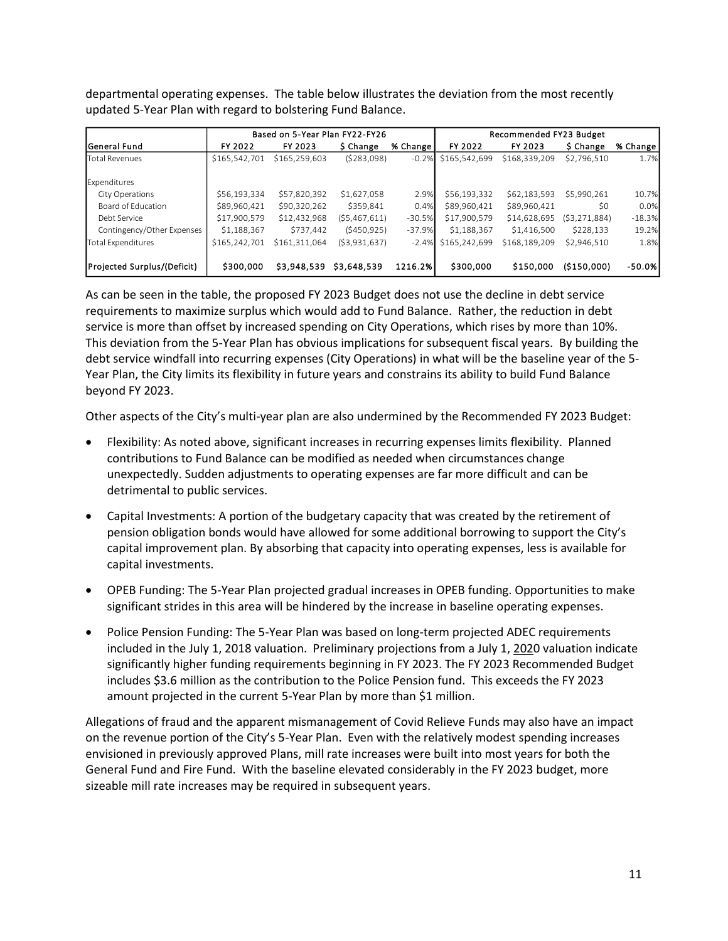departmental operating expenses. The table below illustrates the deviation from the most recently updated 5-Year Plan with regard to bolstering Fund Balance.

|                             |               | Based on 5-Year Plan FY22-FY26 |                |           | Recommended FY23 Budget |               |                |          |  |  |
|-----------------------------|---------------|--------------------------------|----------------|-----------|-------------------------|---------------|----------------|----------|--|--|
| <b>IGeneral Fund</b>        | FY 2022       | FY 2023                        | \$ Change      | % Change  | FY 2022                 | FY 2023       | \$ Change      | % Change |  |  |
| <b>Total Revenues</b>       | \$165,542,701 | \$165,259,603                  | (5283,098)     |           | $-0.2\%$ \$165.542.699  | \$168,339,209 | \$2,796,510    | 1.7%     |  |  |
| Expenditures                |               |                                |                |           |                         |               |                |          |  |  |
| City Operations             | \$56,193,334  | \$57,820,392                   | \$1,627,058    | 2.9%      | \$56,193,332            | \$62,183,593  | \$5,990,261    | 10.7%    |  |  |
| Board of Education          | \$89,960,421  | \$90,320,262                   | \$359,841      | 0.4%      | \$89,960,421            | \$89,960,421  | \$0            | 0.0%     |  |  |
| Debt Service                | \$17,900,579  | \$12,432,968                   | (55, 467, 611) | $-30.5\%$ | \$17,900,579            | \$14,628,695  | (53, 271, 884) | $-18.3%$ |  |  |
| Contingency/Other Expenses  | \$1,188,367   | \$737.442                      | $($ \$450,925) | $-37.9\%$ | \$1,188,367             | \$1,416,500   | \$228,133      | 19.2%    |  |  |
| <b>Total Expenditures</b>   | \$165,242,701 | \$161.311.064                  | ( \$3,931,637) |           | $-2.4\%$ \$165,242,699  | \$168.189.209 | \$2.946.510    | 1.8%     |  |  |
| Projected Surplus/(Deficit) | \$300,000     | \$3,948,539                    | \$3,648,539    | 1216.2%   | \$300,000               | \$150,000     | (5150,000)     | -50.0%   |  |  |

As can be seen in the table, the proposed FY 2023 Budget does not use the decline in debt service requirements to maximize surplus which would add to Fund Balance. Rather, the reduction in debt service is more than offset by increased spending on City Operations, which rises by more than 10%. This deviation from the 5-Year Plan has obvious implications for subsequent fiscal years. By building the debt service windfall into recurring expenses (City Operations) in what will be the baseline year of the 5- Year Plan, the City limits its flexibility in future years and constrains its ability to build Fund Balance beyond FY 2023.

Other aspects of the City's multi-year plan are also undermined by the Recommended FY 2023 Budget:

- Flexibility: As noted above, significant increases in recurring expenses limits flexibility. Planned contributions to Fund Balance can be modified as needed when circumstances change unexpectedly. Sudden adjustments to operating expenses are far more difficult and can be detrimental to public services.
- Capital Investments: A portion of the budgetary capacity that was created by the retirement of pension obligation bonds would have allowed for some additional borrowing to support the City's capital improvement plan. By absorbing that capacity into operating expenses, less is available for capital investments.
- OPEB Funding: The 5-Year Plan projected gradual increases in OPEB funding. Opportunities to make significant strides in this area will be hindered by the increase in baseline operating expenses.
- Police Pension Funding: The 5-Year Plan was based on long-term projected ADEC requirements included in the July 1, 2018 valuation. Preliminary projections from a July 1, 2020 valuation indicate significantly higher funding requirements beginning in FY 2023. The FY 2023 Recommended Budget includes \$3.6 million as the contribution to the Police Pension fund. This exceeds the FY 2023 amount projected in the current 5-Year Plan by more than \$1 million.

Allegations of fraud and the apparent mismanagement of Covid Relieve Funds may also have an impact on the revenue portion of the City's 5-Year Plan. Even with the relatively modest spending increases envisioned in previously approved Plans, mill rate increases were built into most years for both the General Fund and Fire Fund. With the baseline elevated considerably in the FY 2023 budget, more sizeable mill rate increases may be required in subsequent years.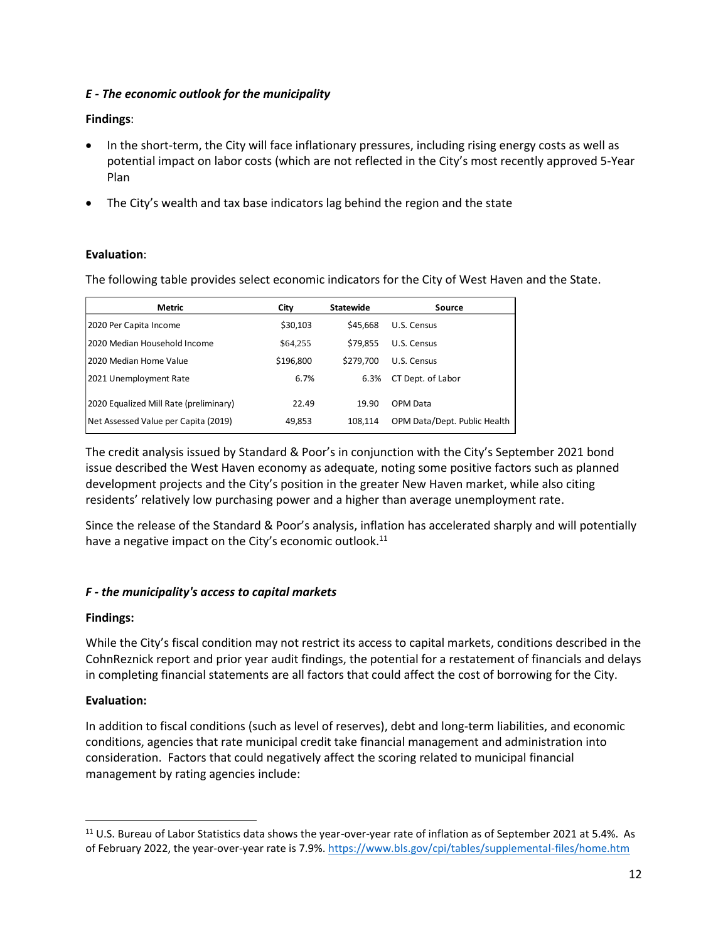### *E - The economic outlook for the municipality*

### **Findings**:

- In the short-term, the City will face inflationary pressures, including rising energy costs as well as potential impact on labor costs (which are not reflected in the City's most recently approved 5-Year Plan
- The City's wealth and tax base indicators lag behind the region and the state

### **Evaluation**:

The following table provides select economic indicators for the City of West Haven and the State.

| Metric                                 | City      | <b>Statewide</b> | Source                       |
|----------------------------------------|-----------|------------------|------------------------------|
| 2020 Per Capita Income                 | \$30,103  | \$45,668         | U.S. Census                  |
| 2020 Median Household Income           | \$64,255  | \$79,855         | U.S. Census                  |
| 12020 Median Home Value                | \$196,800 | \$279.700        | U.S. Census                  |
| 2021 Unemployment Rate                 | 6.7%      | 6.3%             | CT Dept. of Labor            |
| 2020 Equalized Mill Rate (preliminary) | 22.49     | 19.90            | OPM Data                     |
| Net Assessed Value per Capita (2019)   | 49,853    | 108.114          | OPM Data/Dept. Public Health |

The credit analysis issued by Standard & Poor's in conjunction with the City's September 2021 bond issue described the West Haven economy as adequate, noting some positive factors such as planned development projects and the City's position in the greater New Haven market, while also citing residents' relatively low purchasing power and a higher than average unemployment rate.

Since the release of the Standard & Poor's analysis, inflation has accelerated sharply and will potentially have a negative impact on the City's economic outlook.<sup>11</sup>

# *F - the municipality's access to capital markets*

# **Findings:**

While the City's fiscal condition may not restrict its access to capital markets, conditions described in the CohnReznick report and prior year audit findings, the potential for a restatement of financials and delays in completing financial statements are all factors that could affect the cost of borrowing for the City.

# **Evaluation:**

In addition to fiscal conditions (such as level of reserves), debt and long-term liabilities, and economic conditions, agencies that rate municipal credit take financial management and administration into consideration. Factors that could negatively affect the scoring related to municipal financial management by rating agencies include:

<sup>11</sup> U.S. Bureau of Labor Statistics data shows the year-over-year rate of inflation as of September 2021 at 5.4%. As of February 2022, the year-over-year rate is 7.9%.<https://www.bls.gov/cpi/tables/supplemental-files/home.htm>